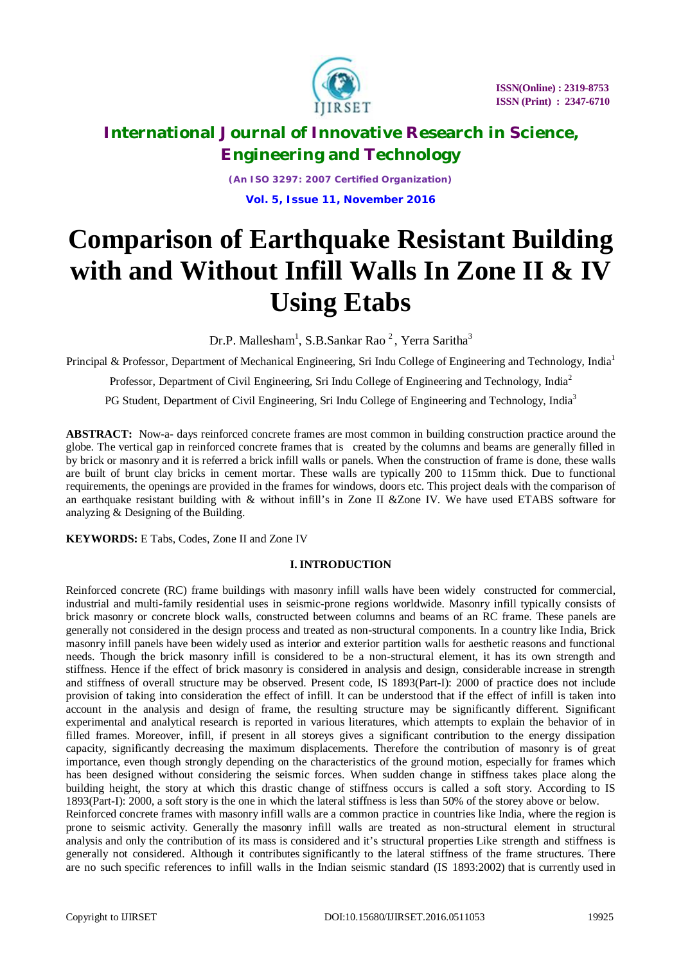

*(An ISO 3297: 2007 Certified Organization)* **Vol. 5, Issue 11, November 2016**

# **Comparison of Earthquake Resistant Building with and Without Infill Walls In Zone II & IV Using Etabs**

Dr.P. Mallesham $^1$ , S.B.Sankar Rao $^2$ , Yerra Saritha $^3$ 

Principal & Professor, Department of Mechanical Engineering, Sri Indu College of Engineering and Technology, India<sup>1</sup>

Professor, Department of Civil Engineering, Sri Indu College of Engineering and Technology, India<sup>2</sup>

PG Student, Department of Civil Engineering, Sri Indu College of Engineering and Technology, India<sup>3</sup>

**ABSTRACT:** Now-a- days reinforced concrete frames are most common in building construction practice around the globe. The vertical gap in reinforced concrete frames that is created by the columns and beams are generally filled in by brick or masonry and it is referred a brick infill walls or panels. When the construction of frame is done, these walls are built of brunt clay bricks in cement mortar. These walls are typically 200 to 115mm thick. Due to functional requirements, the openings are provided in the frames for windows, doors etc. This project deals with the comparison of an earthquake resistant building with & without infill's in Zone II &Zone IV. We have used ETABS software for analyzing & Designing of the Building.

**KEYWORDS:** E Tabs, Codes, Zone II and Zone IV

### **I. INTRODUCTION**

Reinforced concrete (RC) frame buildings with masonry infill walls have been widely constructed for commercial, industrial and multi-family residential uses in seismic-prone regions worldwide. Masonry infill typically consists of brick masonry or concrete block walls, constructed between columns and beams of an RC frame. These panels are generally not considered in the design process and treated as non-structural components. In a country like India, Brick masonry infill panels have been widely used as interior and exterior partition walls for aesthetic reasons and functional needs. Though the brick masonry infill is considered to be a non-structural element, it has its own strength and stiffness. Hence if the effect of brick masonry is considered in analysis and design, considerable increase in strength and stiffness of overall structure may be observed. Present code, IS 1893(Part-I): 2000 of practice does not include provision of taking into consideration the effect of infill. It can be understood that if the effect of infill is taken into account in the analysis and design of frame, the resulting structure may be significantly different. Significant experimental and analytical research is reported in various literatures, which attempts to explain the behavior of in filled frames. Moreover, infill, if present in all storeys gives a significant contribution to the energy dissipation capacity, significantly decreasing the maximum displacements. Therefore the contribution of masonry is of great importance, even though strongly depending on the characteristics of the ground motion, especially for frames which has been designed without considering the seismic forces. When sudden change in stiffness takes place along the building height, the story at which this drastic change of stiffness occurs is called a soft story. According to IS 1893(Part-I): 2000, a soft story is the one in which the lateral stiffness is less than 50% of the storey above or below. Reinforced concrete frames with masonry infill walls are a common practice in countries like India, where the region is prone to seismic activity. Generally the masonry infill walls are treated as non-structural element in structural analysis and only the contribution of its mass is considered and it's structural properties Like strength and stiffness is generally not considered. Although it contributes significantly to the lateral stiffness of the frame structures. There are no such specific references to infill walls in the Indian seismic standard (IS 1893:2002) that is currently used in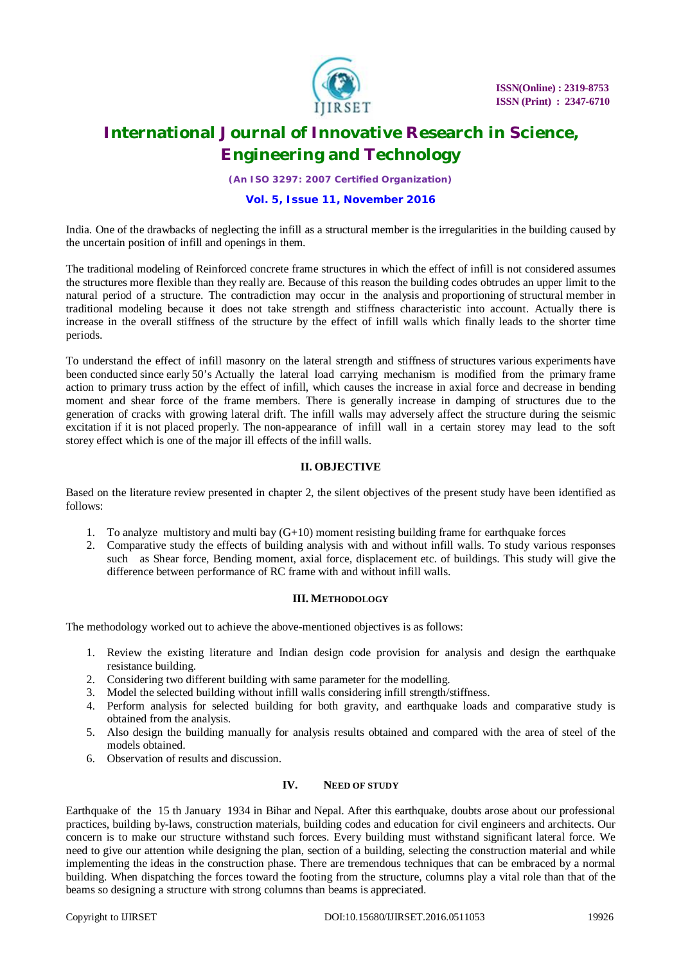

*(An ISO 3297: 2007 Certified Organization)*

#### **Vol. 5, Issue 11, November 2016**

India. One of the drawbacks of neglecting the infill as a structural member is the irregularities in the building caused by the uncertain position of infill and openings in them.

The traditional modeling of Reinforced concrete frame structures in which the effect of infill is not considered assumes the structures more flexible than they really are. Because of this reason the building codes obtrudes an upper limit to the natural period of a structure. The contradiction may occur in the analysis and proportioning of structural member in traditional modeling because it does not take strength and stiffness characteristic into account. Actually there is increase in the overall stiffness of the structure by the effect of infill walls which finally leads to the shorter time periods.

To understand the effect of infill masonry on the lateral strength and stiffness of structures various experiments have been conducted since early 50's Actually the lateral load carrying mechanism is modified from the primary frame action to primary truss action by the effect of infill, which causes the increase in axial force and decrease in bending moment and shear force of the frame members. There is generally increase in damping of structures due to the generation of cracks with growing lateral drift. The infill walls may adversely affect the structure during the seismic excitation if it is not placed properly. The non-appearance of infill wall in a certain storey may lead to the soft storey effect which is one of the major ill effects of the infill walls.

#### **II. OBJECTIVE**

Based on the literature review presented in chapter 2, the silent objectives of the present study have been identified as follows:

- 1. To analyze multistory and multi bay (G+10) moment resisting building frame for earthquake forces
- 2. Comparative study the effects of building analysis with and without infill walls. To study various responses such as Shear force, Bending moment, axial force, displacement etc. of buildings. This study will give the difference between performance of RC frame with and without infill walls.

#### **III. METHODOLOGY**

The methodology worked out to achieve the above-mentioned objectives is as follows:

- 1. Review the existing literature and Indian design code provision for analysis and design the earthquake resistance building.
- 2. Considering two different building with same parameter for the modelling.
- 3. Model the selected building without infill walls considering infill strength/stiffness.
- 4. Perform analysis for selected building for both gravity, and earthquake loads and comparative study is obtained from the analysis.
- 5. Also design the building manually for analysis results obtained and compared with the area of steel of the models obtained.
- 6. Observation of results and discussion.

#### **IV. NEED OF STUDY**

Earthquake of the 15 th January 1934 in Bihar and Nepal. After this earthquake, doubts arose about our professional practices, building by-laws, construction materials, building codes and education for civil engineers and architects. Our concern is to make our structure withstand such forces. Every building must withstand significant lateral force. We need to give our attention while designing the plan, section of a building, selecting the construction material and while implementing the ideas in the construction phase. There are tremendous techniques that can be embraced by a normal building. When dispatching the forces toward the footing from the structure, columns play a vital role than that of the beams so designing a structure with strong columns than beams is appreciated.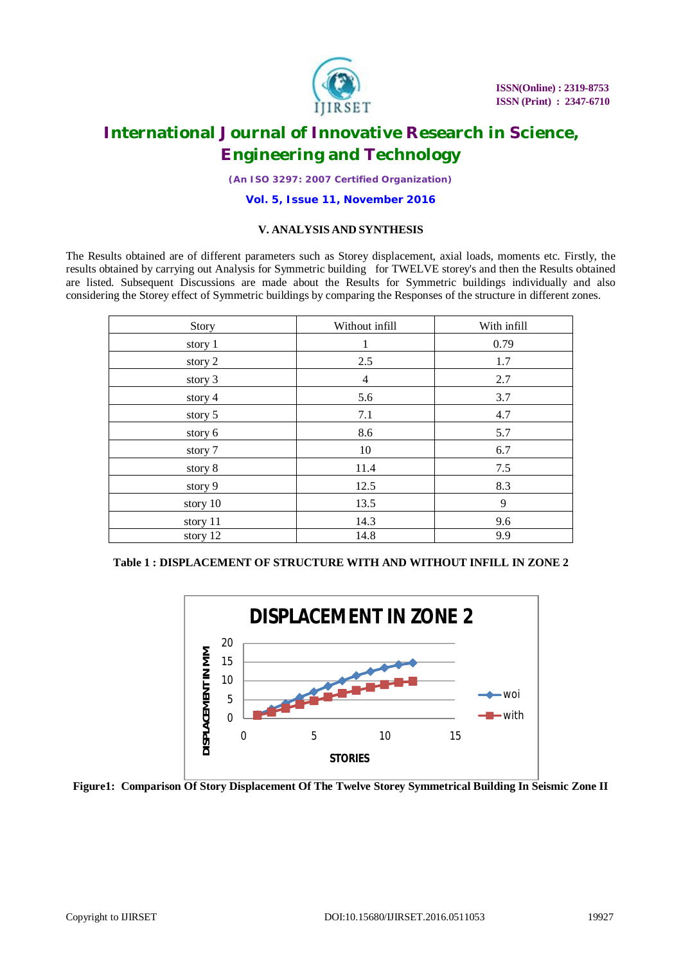

*(An ISO 3297: 2007 Certified Organization)*

**Vol. 5, Issue 11, November 2016**

### **V. ANALYSIS AND SYNTHESIS**

The Results obtained are of different parameters such as Storey displacement, axial loads, moments etc. Firstly, the results obtained by carrying out Analysis for Symmetric building for TWELVE storey's and then the Results obtained are listed. Subsequent Discussions are made about the Results for Symmetric buildings individually and also considering the Storey effect of Symmetric buildings by comparing the Responses of the structure in different zones.

| Story    | Without infill | With infill |
|----------|----------------|-------------|
| story 1  | 1              | 0.79        |
| story 2  | 2.5            | 1.7         |
| story 3  | $\overline{4}$ | 2.7         |
| story 4  | 5.6            | 3.7         |
| story 5  | 7.1            | 4.7         |
| story 6  | 8.6            | 5.7         |
| story 7  | 10             | 6.7         |
| story 8  | 11.4           | 7.5         |
| story 9  | 12.5           | 8.3         |
| story 10 | 13.5           | 9           |
| story 11 | 14.3           | 9.6         |
| story 12 | 14.8           | 9.9         |

### **Table 1 : DISPLACEMENT OF STRUCTURE WITH AND WITHOUT INFILL IN ZONE 2**



**Figure1: Comparison Of Story Displacement Of The Twelve Storey Symmetrical Building In Seismic Zone II**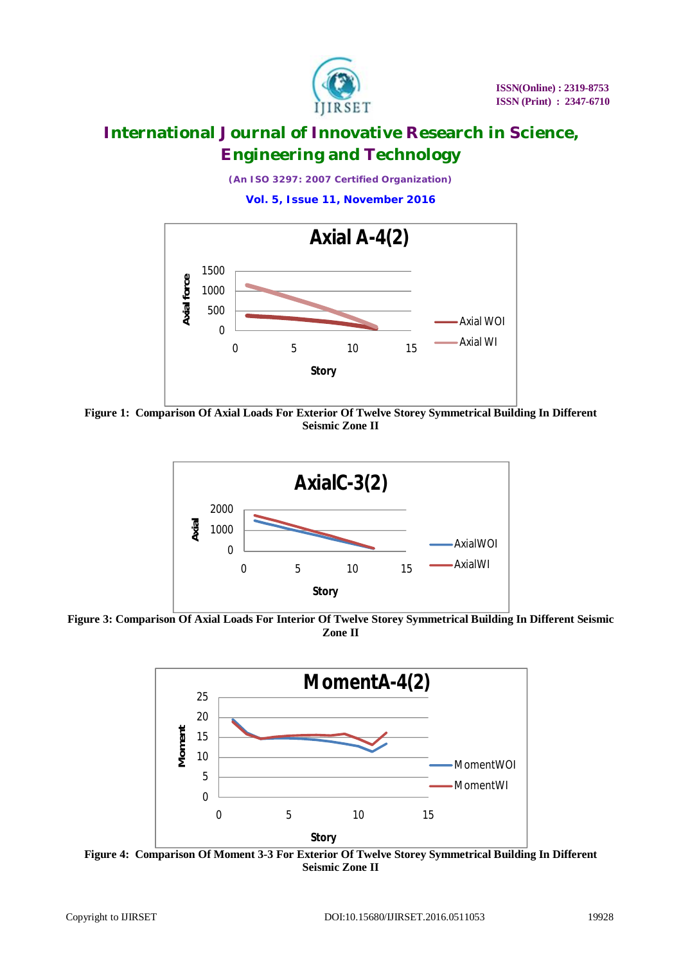

*(An ISO 3297: 2007 Certified Organization)* **Vol. 5, Issue 11, November 2016**



**Figure 1: Comparison Of Axial Loads For Exterior Of Twelve Storey Symmetrical Building In Different Seismic Zone II**



**Figure 3: Comparison Of Axial Loads For Interior Of Twelve Storey Symmetrical Building In Different Seismic Zone II**



**Figure 4: Comparison Of Moment 3-3 For Exterior Of Twelve Storey Symmetrical Building In Different Seismic Zone II**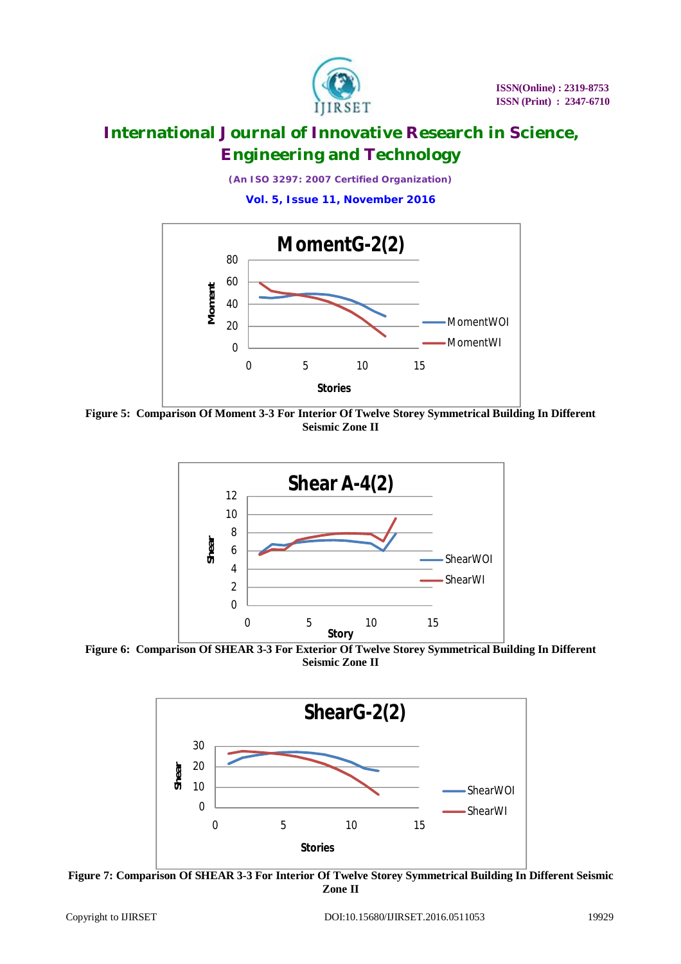

*(An ISO 3297: 2007 Certified Organization)*

**Vol. 5, Issue 11, November 2016**



**Figure 5: Comparison Of Moment 3-3 For Interior Of Twelve Storey Symmetrical Building In Different Seismic Zone II**



**Figure 6: Comparison Of SHEAR 3-3 For Exterior Of Twelve Storey Symmetrical Building In Different Seismic Zone II**



**Figure 7: Comparison Of SHEAR 3-3 For Interior Of Twelve Storey Symmetrical Building In Different Seismic Zone II**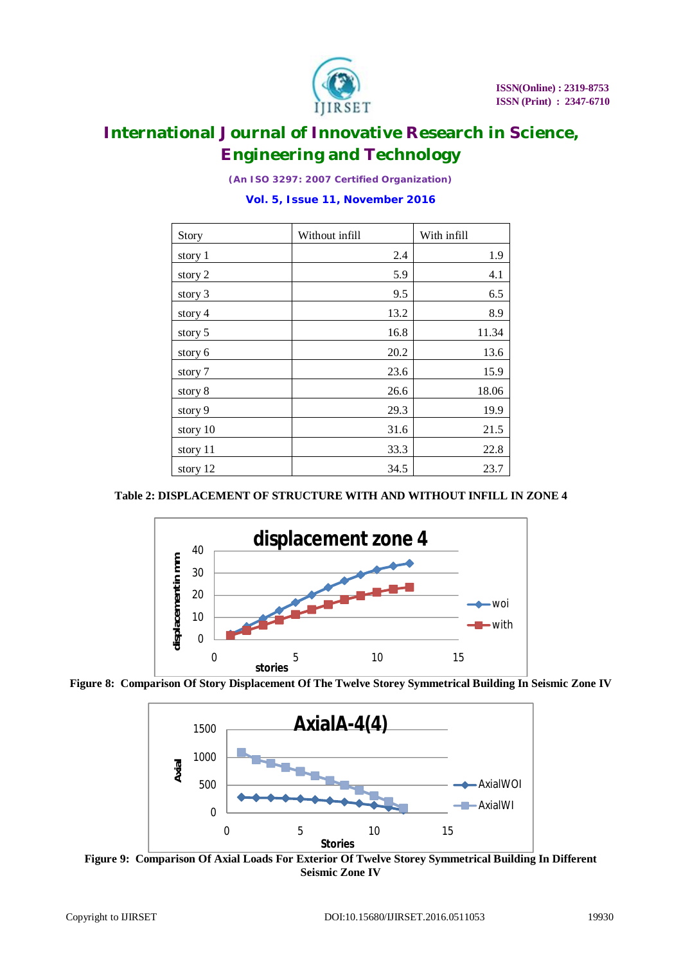

*(An ISO 3297: 2007 Certified Organization)*

**Vol. 5, Issue 11, November 2016**

| Story     | Without infill | With infill |
|-----------|----------------|-------------|
| story 1   | 2.4            | 1.9         |
| story 2   | 5.9            | 4.1         |
| story 3   | 9.5            | 6.5         |
| story $4$ | 13.2           | 8.9         |
| story 5   | 16.8           | 11.34       |
| story 6   | 20.2           | 13.6        |
| story 7   | 23.6           | 15.9        |
| story 8   | 26.6           | 18.06       |
| story 9   | 29.3           | 19.9        |
| story 10  | 31.6           | 21.5        |
| story 11  | 33.3           | 22.8        |
| story 12  | 34.5           | 23.7        |

### **Table 2: DISPLACEMENT OF STRUCTURE WITH AND WITHOUT INFILL IN ZONE 4**







**Figure 9: Comparison Of Axial Loads For Exterior Of Twelve Storey Symmetrical Building In Different Seismic Zone IV**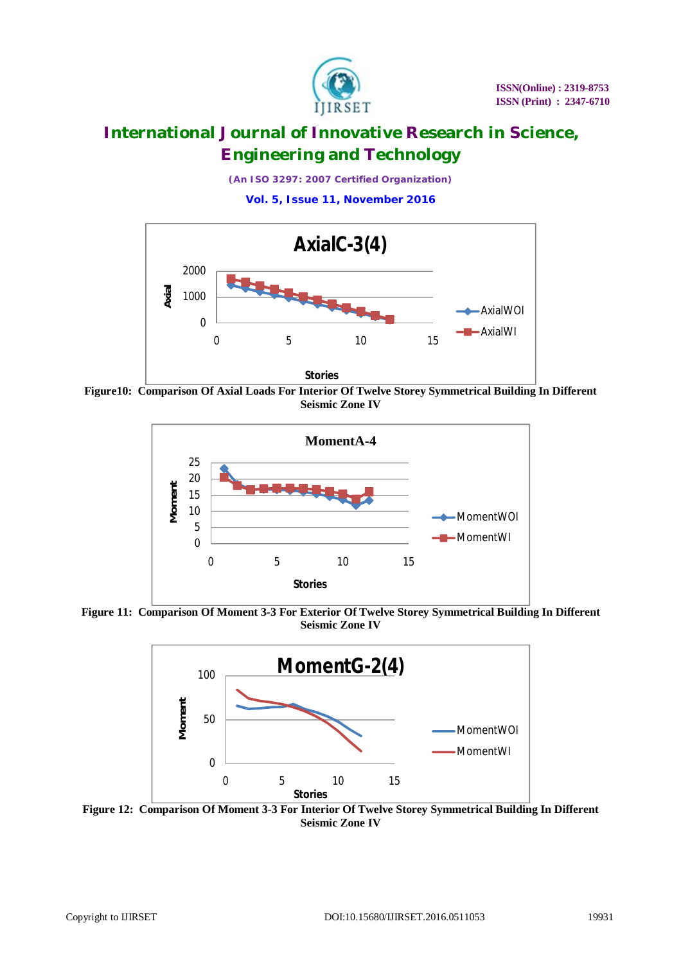

*(An ISO 3297: 2007 Certified Organization)*

**Vol. 5, Issue 11, November 2016**



**Figure10: Comparison Of Axial Loads For Interior Of Twelve Storey Symmetrical Building In Different Seismic Zone IV**



**Figure 11: Comparison Of Moment 3-3 For Exterior Of Twelve Storey Symmetrical Building In Different Seismic Zone IV**



**Figure 12: Comparison Of Moment 3-3 For Interior Of Twelve Storey Symmetrical Building In Different Seismic Zone IV**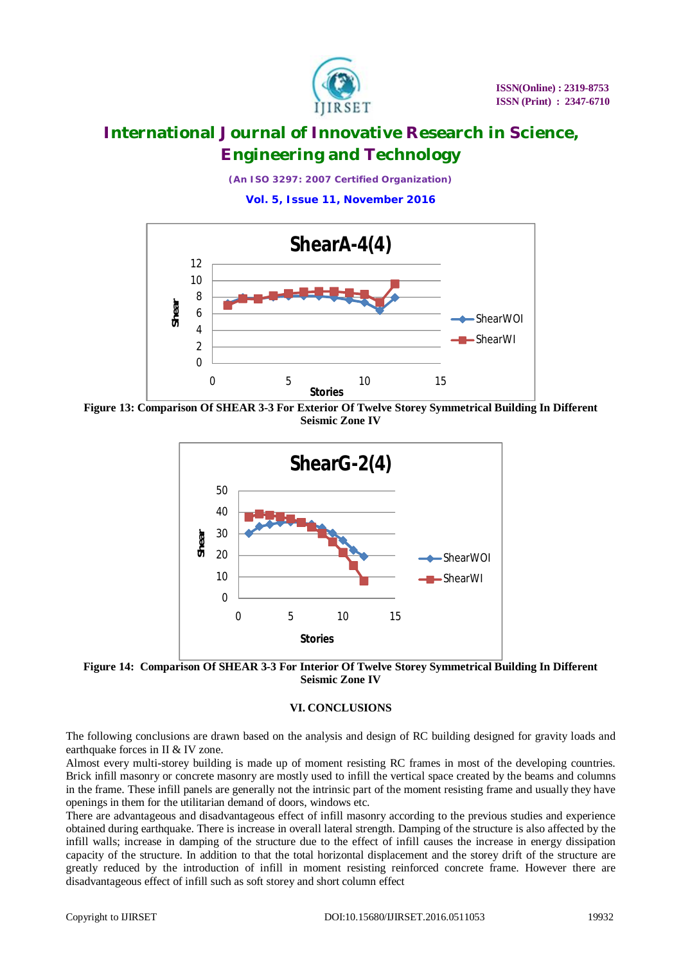

*(An ISO 3297: 2007 Certified Organization)*

**Vol. 5, Issue 11, November 2016**



**Figure 13: Comparison Of SHEAR 3-3 For Exterior Of Twelve Storey Symmetrical Building In Different Seismic Zone IV**



**Figure 14: Comparison Of SHEAR 3-3 For Interior Of Twelve Storey Symmetrical Building In Different Seismic Zone IV**

#### **VI. CONCLUSIONS**

The following conclusions are drawn based on the analysis and design of RC building designed for gravity loads and earthquake forces in II & IV zone.

Almost every multi-storey building is made up of moment resisting RC frames in most of the developing countries. Brick infill masonry or concrete masonry are mostly used to infill the vertical space created by the beams and columns in the frame. These infill panels are generally not the intrinsic part of the moment resisting frame and usually they have openings in them for the utilitarian demand of doors, windows etc.

There are advantageous and disadvantageous effect of infill masonry according to the previous studies and experience obtained during earthquake. There is increase in overall lateral strength. Damping of the structure is also affected by the infill walls; increase in damping of the structure due to the effect of infill causes the increase in energy dissipation capacity of the structure. In addition to that the total horizontal displacement and the storey drift of the structure are greatly reduced by the introduction of infill in moment resisting reinforced concrete frame. However there are disadvantageous effect of infill such as soft storey and short column effect